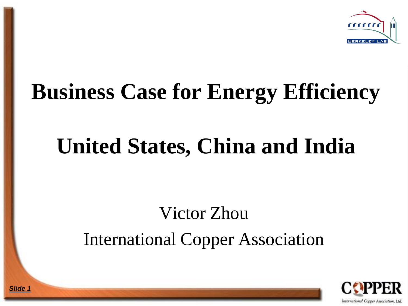

# **Business Case for Energy Efficiency**

## **United States, China and India**

#### Victor Zhou International Copper Association

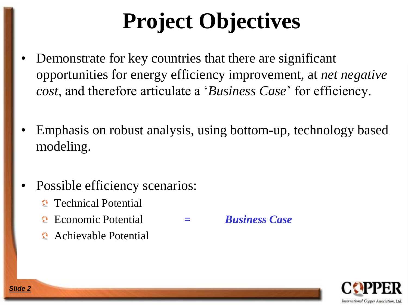# **Project Objectives**

- Demonstrate for key countries that there are significant opportunities for energy efficiency improvement, at *net negative cost*, and therefore articulate a '*Business Case*' for efficiency.
- Emphasis on robust analysis, using bottom-up, technology based modeling.
- Possible efficiency scenarios:
	- **C** Technical Potential
	- Economic Potential **=** *Business Case*
	- Achievable Potential

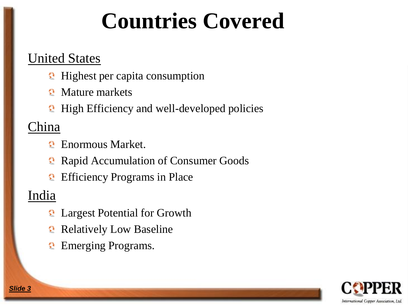### **Countries Covered**

#### United States

- **Highest per capita consumption**
- Mature markets
- **High Efficiency and well-developed policies**

#### China

- Enormous Market.
- **Rapid Accumulation of Consumer Goods**
- **Efficiency Programs in Place**

#### India

- **2** Largest Potential for Growth
- **Relatively Low Baseline**
- **Emerging Programs.**

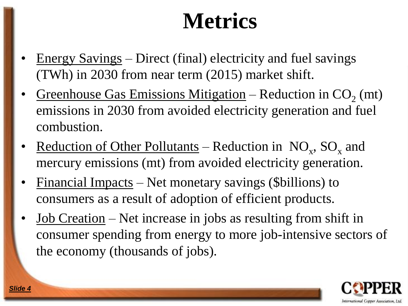# **Metrics**

- Energy Savings Direct (final) electricity and fuel savings (TWh) in 2030 from near term (2015) market shift.
- Greenhouse Gas Emissions Mitigation Reduction in  $CO_2$  (mt) emissions in 2030 from avoided electricity generation and fuel combustion.
- Reduction of Other Pollutants Reduction in  $NO_x$ ,  $SO_x$  and mercury emissions (mt) from avoided electricity generation.
- $\n *Financial Impacts* Net monetary savings (Sbillions) to\n$ consumers as a result of adoption of efficient products.
- Job Creation Net increase in jobs as resulting from shift in consumer spending from energy to more job-intensive sectors of the economy (thousands of jobs).

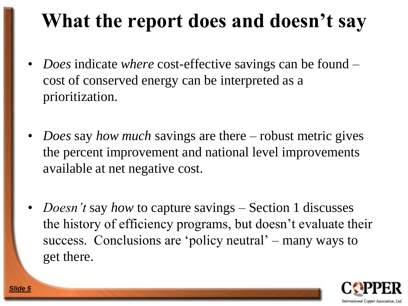#### **What the report does and doesn't say**

- *Does* indicate *where* cost-effective savings can be found cost of conserved energy can be interpreted as a prioritization.
- *Does* say *how much* savings are there robust metric gives the percent improvement and national level improvements available at net negative cost.
- *Doesn't* say *how* to capture savings Section 1 discusses the history of efficiency programs, but doesn't evaluate their success. Conclusions are 'policy neutral' – many ways to get there.

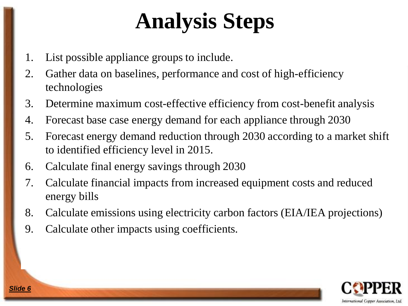# **Analysis Steps**

- 1. List possible appliance groups to include.
- 2. Gather data on baselines, performance and cost of high-efficiency technologies
- 3. Determine maximum cost-effective efficiency from cost-benefit analysis
- 4. Forecast base case energy demand for each appliance through 2030
- 5. Forecast energy demand reduction through 2030 according to a market shift to identified efficiency level in 2015.
- 6. Calculate final energy savings through 2030
- 7. Calculate financial impacts from increased equipment costs and reduced energy bills
- 8. Calculate emissions using electricity carbon factors (EIA/IEA projections)
- 9. Calculate other impacts using coefficients.

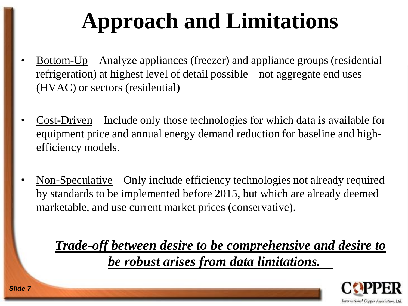# **Approach and Limitations**

- <u>Bottom-Up</u> Analyze appliances (freezer) and appliance groups (residential refrigeration) at highest level of detail possible – not aggregate end uses (HVAC) or sectors (residential)
- Cost-Driven Include only those technologies for which data is available for equipment price and annual energy demand reduction for baseline and highefficiency models.
- Non-Speculative Only include efficiency technologies not already required by standards to be implemented before 2015, but which are already deemed marketable, and use current market prices (conservative).

*Trade-off between desire to be comprehensive and desire to be robust arises from data limitations.*

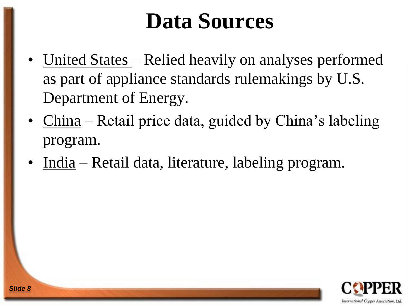# **Data Sources**

- United States Relied heavily on analyses performed as part of appliance standards rulemakings by U.S. Department of Energy.
- China Retail price data, guided by China's labeling program.
- India Retail data, literature, labeling program.

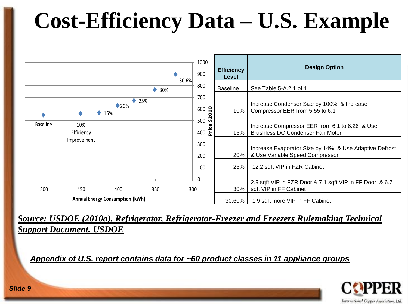# **Cost-Efficiency Data – U.S. Example**

|                 |                                        |                                 | 1000<br>900                                     | <b>Efficiency</b><br>Level | <b>Design Option</b>                                                                      |
|-----------------|----------------------------------------|---------------------------------|-------------------------------------------------|----------------------------|-------------------------------------------------------------------------------------------|
|                 |                                        | 30.6%<br>٠<br>30%               | 800                                             | <b>Baseline</b>            | See Table 5-A.2.1 of 1                                                                    |
|                 | $\blacklozenge$ 15%                    | 25%<br>۰<br>$\blacklozenge$ 20% | 700<br>$\mathbf{a}$<br>600                      | 10%                        | Increase Condenser Size by 100% & Increase<br>Compressor EER from 5.55 to 6.1             |
| <b>Baseline</b> | 10%<br>Efficiency                      |                                 | $\circ$<br>$\frac{5}{2}$<br>500<br>Price<br>400 | 15%                        | Increase Compressor EER from 6.1 to 6.26 & Use<br>Brushless DC Condenser Fan Motor        |
|                 | Improvement                            |                                 | 300<br>200                                      | 20%                        | Increase Evaporator Size by 14% & Use Adaptive Defrost<br>& Use Variable Speed Compressor |
|                 |                                        |                                 | 100                                             | 25%                        | 12.2 sqft VIP in FZR Cabinet                                                              |
| 500             | 400<br>450                             | 350                             | 0<br>300                                        | 30%                        | 2.9 sqft VIP in FZR Door & 7.1 sqft VIP in FF Door & 6.7<br>sqft VIP in FF Cabinet        |
|                 | <b>Annual Energy Consumption (kWh)</b> |                                 |                                                 | 30.60%                     | 1.9 sqft more VIP in FF Cabinet                                                           |

*Source: USDOE (2010a). Refrigerator, Refrigerator-Freezer and Freezers Rulemaking Technical Support Document. USDOE*

*Appendix of U.S. report contains data for ~60 product classes in 11 appliance groups*

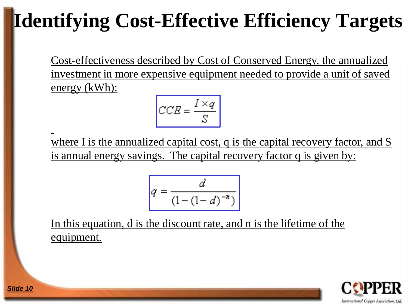# **Identifying Cost-Effective Efficiency Targets**

Cost-effectiveness described by Cost of Conserved Energy, the annualized investment in more expensive equipment needed to provide a unit of saved energy (kWh):

$$
CCE = \frac{I \times q}{S}
$$

where I is the annualized capital cost, q is the capital recovery factor, and S is annual energy savings. The capital recovery factor q is given by:

$$
q = \frac{d}{\left(1 - \left(1 - d\right)^{-n}\right)}
$$

In this equation, d is the discount rate, and n is the lifetime of the equipment.

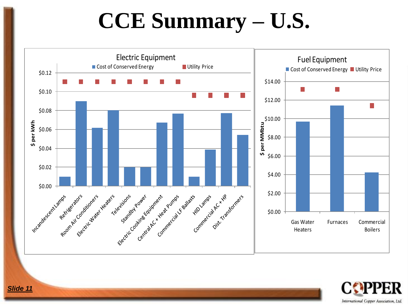### **CCE Summary – U.S.**



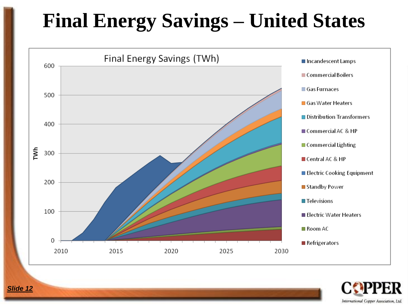### **Final Energy Savings - United States**



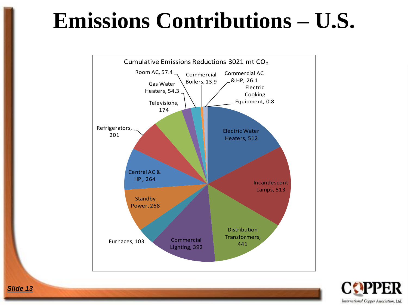### **Emissions Contributions – U.S.**



International Copper Association, Ltd.

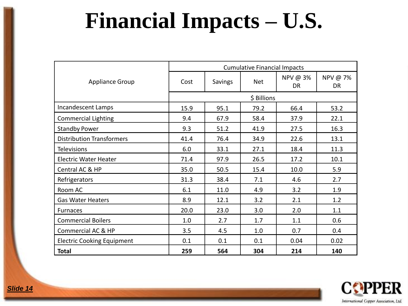# **Financial Impacts – U.S.**

|                                   | <b>Cumulative Financial Impacts</b> |                |            |                       |                |  |  |  |  |
|-----------------------------------|-------------------------------------|----------------|------------|-----------------------|----------------|--|--|--|--|
| <b>Appliance Group</b>            | Cost                                | <b>Savings</b> | <b>Net</b> | NPV @ 3%<br><b>DR</b> | NPV @ 7%<br>DR |  |  |  |  |
|                                   | \$ Billions                         |                |            |                       |                |  |  |  |  |
| Incandescent Lamps                | 15.9                                | 95.1           | 79.2       | 66.4                  | 53.2           |  |  |  |  |
| <b>Commercial Lighting</b>        | 9.4                                 | 67.9           | 58.4       | 37.9                  | 22.1           |  |  |  |  |
| <b>Standby Power</b>              | 9.3                                 | 51.2           | 41.9       | 27.5                  | 16.3           |  |  |  |  |
| <b>Distribution Transformers</b>  | 41.4                                | 76.4           | 34.9       | 22.6                  | 13.1           |  |  |  |  |
| <b>Televisions</b>                | 6.0                                 | 33.1           | 27.1       | 18.4                  | 11.3           |  |  |  |  |
| <b>Electric Water Heater</b>      | 71.4                                | 97.9           | 26.5       | 17.2                  | 10.1           |  |  |  |  |
| Central AC & HP                   | 35.0                                | 50.5           | 15.4       | 10.0                  | 5.9            |  |  |  |  |
| Refrigerators                     | 31.3                                | 38.4           | 7.1        | 4.6                   | 2.7            |  |  |  |  |
| Room AC                           | 6.1                                 | 11.0           | 4.9        | 3.2                   | 1.9            |  |  |  |  |
| <b>Gas Water Heaters</b>          | 8.9                                 | 12.1           | 3.2        | 2.1                   | 1.2            |  |  |  |  |
| <b>Furnaces</b>                   | 20.0                                | 23.0           | 3.0        | 2.0                   | 1.1            |  |  |  |  |
| <b>Commercial Boilers</b>         | 1.0                                 | 2.7            | 1.7        | 1.1                   | 0.6            |  |  |  |  |
| Commercial AC & HP                | 3.5                                 | 4.5            | 1.0        | 0.7                   | 0.4            |  |  |  |  |
| <b>Electric Cooking Equipment</b> | 0.1                                 | 0.1            | 0.1        | 0.04                  | 0.02           |  |  |  |  |
| <b>Total</b>                      | 259                                 | 564            | 304        | 214                   | 140            |  |  |  |  |

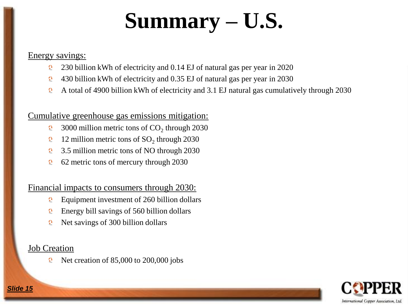# **Summary – U.S.**

#### Energy savings:

- 230 billion kWh of electricity and 0.14 EJ of natural gas per year in 2020  $\overline{\mathcal{O}}$
- 430 billion kWh of electricity and 0.35 EJ of natural gas per year in 2030  $\bullet$
- A total of 4900 billion kWh of electricity and 3.1 EJ natural gas cumulatively through 2030  $\bullet$

#### Cumulative greenhouse gas emissions mitigation:

- 3000 million metric tons of  $CO<sub>2</sub>$  through 2030  $\bullet$
- 12 million metric tons of  $SO_2$  through 2030  $\mathbf{Q}$
- $\Omega$ 3.5 million metric tons of NO through 2030
- 62 metric tons of mercury through 2030  $\mathbf{O}$

#### Financial impacts to consumers through 2030:

- $\Omega$ Equipment investment of 260 billion dollars
- Energy bill savings of 560 billion dollars  $\mathbf{Q}$
- Net savings of 300 billion dollars  $\Omega$

#### Job Creation

Net creation of 85,000 to 200,000 jobs $\mathbf{Q}$ 

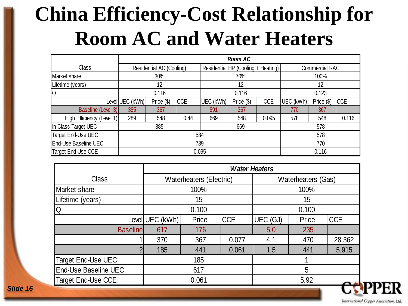#### **China Efficiency-Cost Relationship for Room AC and Water Heaters**

| Class                     | Residential AC (Cooling)                    |     |           | Residential HP (Cooling + Heating) |            |           | <b>Commercial RAC</b> |            |       |  |
|---------------------------|---------------------------------------------|-----|-----------|------------------------------------|------------|-----------|-----------------------|------------|-------|--|
| Market share              | 30%                                         |     |           | 70%                                |            |           | 100%                  |            |       |  |
| Lifetime (years)          | 12                                          |     |           | 12                                 |            |           | 12                    |            |       |  |
| lQ                        | 0.116                                       |     |           | 0.116                              |            |           | 0.123                 |            |       |  |
|                           | Level UEC (kWh)<br><b>CCE</b><br>Price (\$) |     | UEC (kWh) | Price (\$)                         | <b>CCE</b> | UEC (kWh) | Price (\$)            | <b>CCE</b> |       |  |
| Baseline (Level 3)        | 385                                         | 367 |           | 891                                | 367        |           | 770                   | 367        |       |  |
| High Efficiency (Level 1) | 289                                         | 548 | 0.44      | 669                                | 548        | 0.095     | 578                   | 548        | 0.116 |  |
| In-Class Target UEC       |                                             | 385 |           | 669                                |            |           | 578                   |            |       |  |
| Target End-Use UEC        | 584                                         |     |           |                                    |            |           |                       | 578        |       |  |
| End-Use Baseline UEC      | 739                                         |     |           |                                    |            |           | 770                   |            |       |  |
| Target End-Use CCE        |                                             |     |           | 0.095                              |            |           | 0.116                 |            |       |  |

|                      |                 |                         |            | <b>Water Heaters</b> |       |            |  |  |
|----------------------|-----------------|-------------------------|------------|----------------------|-------|------------|--|--|
| <b>Class</b>         |                 | Waterheaters (Electric) |            | Waterheaters (Gas)   |       |            |  |  |
| Market share         |                 | 100%                    |            | 100%                 |       |            |  |  |
| Lifetime (years)     | 15              |                         |            |                      | 15    |            |  |  |
| Q                    |                 | 0.100                   |            | 0.100                |       |            |  |  |
|                      | Level UEC (kWh) | Price                   | <b>CCE</b> | UEC (GJ)             | Price | <b>CCE</b> |  |  |
| <b>Baseline</b>      | 617             | 176                     |            | 5.0                  | 235   |            |  |  |
|                      | 370             | 367                     | 0.077      | 4.1                  | 470   | 28.362     |  |  |
|                      | 185             | 441                     | 0.061      | 1.5                  | 441   | 5.915      |  |  |
| Target End-Use UEC   |                 | 185                     |            |                      |       |            |  |  |
| End-Use Baseline UEC | 617             |                         |            | $5\phantom{.0}$      |       |            |  |  |
| Target End-Use CCE   |                 | 0.061                   |            |                      | 5.92  |            |  |  |

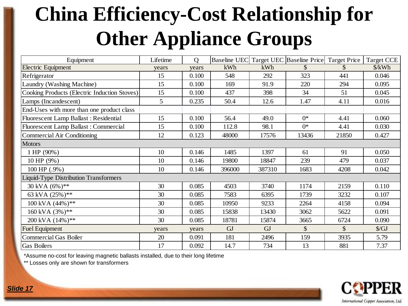### **China Efficiency-Cost Relationship for Other Appliance Groups**

| Equipment                                    | Lifetime | $\overline{Q}$ | <b>Baseline UEC</b> |           | Target UEC Baseline Price Target Price |       | <b>Target CCE</b>    |
|----------------------------------------------|----------|----------------|---------------------|-----------|----------------------------------------|-------|----------------------|
| <b>Electric Equipment</b>                    | years    | years          | kWh                 | kWh       |                                        |       | $\frac{\sqrt{2}}{2}$ |
| Refrigerator                                 | 15       | 0.100          | 548                 | 292       | 323                                    | 441   | 0.046                |
| Laundry (Washing Machine)                    | 15       | 0.100          | 169                 | 91.9      | 220                                    | 294   | 0.095                |
| Cooking Products (Electric Induction Stoves) | 15       | 0.100          | 437                 | 398       | 34                                     | 51    | 0.045                |
| Lamps (Incandescent)                         | 5        | 0.235          | 50.4                | 12.6      | 1.47                                   | 4.11  | 0.016                |
| End-Uses with more than one product class    |          |                |                     |           |                                        |       |                      |
| Fluorescent Lamp Ballast : Residential       | 15       | 0.100          | 56.4                | 49.0      | $0^*$                                  | 4.41  | 0.060                |
| Fluorescent Lamp Ballast : Commercial        | 15       | 0.100          | 112.8               | 98.1      | $0^*$                                  | 4.41  | 0.030                |
| Commercial Air Conditioning                  | 12       | 0.123          | 48000               | 17576     | 13436                                  | 21850 | 0.427                |
| <b>Motors</b>                                |          |                |                     |           |                                        |       |                      |
| 1 HP (90%)                                   | 10       | 0.146          | 1485                | 1397      | 61                                     | 91    | 0.050                |
| 10 HP (9%)                                   | 10       | 0.146          | 19800               | 18847     | 239                                    | 479   | 0.037                |
| 100 HP (.9%)                                 | 10       | 0.146          | 396000              | 387310    | 1683                                   | 4208  | 0.042                |
| iquid-Type Distribution Transformers         |          |                |                     |           |                                        |       |                      |
| 30 kVA (6%)**                                | 30       | 0.085          | 4503                | 3740      | 1174                                   | 2159  | 0.110                |
| 63 kVA (25%)**                               | 30       | 0.085          | 7583                | 6395      | 1739                                   | 3232  | 0.107                |
| 100 kVA (44%)**                              | 30       | 0.085          | 10950               | 9233      | 2264                                   | 4158  | 0.094                |
| $160 \text{ kVA } (3\%)$ **                  | 30       | 0.085          | 15838               | 13430     | 3062                                   | 5622  | 0.091                |
| 200 kVA (14%)**                              | 30       | 0.085          | 18781               | 15874     | 3665                                   | 6724  | 0.090                |
| <b>Fuel Equipment</b>                        | years    | years          | <b>GJ</b>           | <b>GJ</b> | \$                                     | \$    | $\sqrt{$GJ}$         |
| <b>Commercial Gas Boiler</b>                 | 20       | 0.091          | 181                 | 2496      | 159                                    | 3935  | 5.79                 |
| <b>Gas Boilers</b>                           | 17       | 0.092          | 14.7                | 734       | 13                                     | 881   | 7.37                 |

\*Assume no-cost for leaving magnetic ballasts installed, due to their long lifetime

\*\* Losses only are shown for transformers

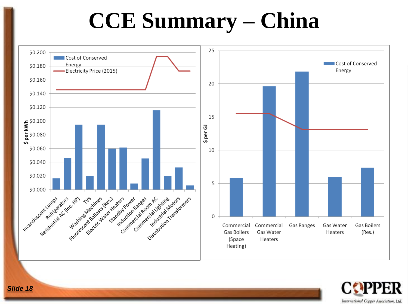### **CCE Summary – China**



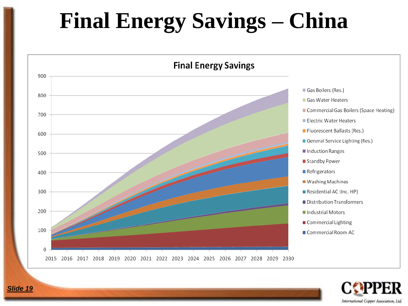# **Final Energy Savings - China**



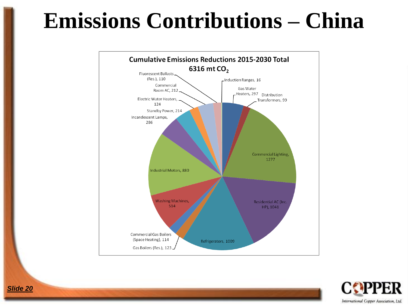### **Emissions Contributions – China**



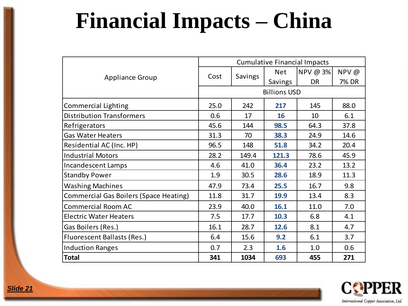# **Financial Impacts – China**

|                                        | <b>Cumulative Financial Impacts</b> |         |                |           |       |  |  |  |  |
|----------------------------------------|-------------------------------------|---------|----------------|-----------|-------|--|--|--|--|
|                                        | Cost                                | Savings | <b>Net</b>     | NPV @ 3%  | NPV @ |  |  |  |  |
| <b>Appliance Group</b>                 |                                     |         | <b>Savings</b> | <b>DR</b> | 7% DR |  |  |  |  |
|                                        | <b>Billions USD</b>                 |         |                |           |       |  |  |  |  |
| Commercial Lighting                    | 25.0                                | 242     | 217            | 145       | 88.0  |  |  |  |  |
| <b>Distribution Transformers</b>       | 0.6                                 | 17      | 16             | 10        | 6.1   |  |  |  |  |
| Refrigerators                          | 45.6                                | 144     | 98.5           | 64.3      | 37.8  |  |  |  |  |
| <b>Gas Water Heaters</b>               | 31.3                                | 70      | 38.3           | 24.9      | 14.6  |  |  |  |  |
| Residential AC (Inc. HP)               | 96.5                                | 148     | 51.8           | 34.2      | 20.4  |  |  |  |  |
| <b>Industrial Motors</b>               | 28.2                                | 149.4   | 121.3          | 78.6      | 45.9  |  |  |  |  |
| Incandescent Lamps                     | 4.6                                 | 41.0    | 36.4           | 23.2      | 13.2  |  |  |  |  |
| <b>Standby Power</b>                   | 1.9                                 | 30.5    | 28.6           | 18.9      | 11.3  |  |  |  |  |
| <b>Washing Machines</b>                | 47.9                                | 73.4    | 25.5           | 16.7      | 9.8   |  |  |  |  |
| Commercial Gas Boilers (Space Heating) | 11.8                                | 31.7    | 19.9           | 13.4      | 8.3   |  |  |  |  |
| <b>Commercial Room AC</b>              | 23.9                                | 40.0    | 16.1           | 11.0      | 7.0   |  |  |  |  |
| <b>Electric Water Heaters</b>          | 7.5                                 | 17.7    | 10.3           | 6.8       | 4.1   |  |  |  |  |
| Gas Boilers (Res.)                     | 16.1                                | 28.7    | 12.6           | 8.1       | 4.7   |  |  |  |  |
| <b>Fluorescent Ballasts (Res.)</b>     | 6.4                                 | 15.6    | 9.2            | 6.1       | 3.7   |  |  |  |  |
| <b>Induction Ranges</b>                | 0.7                                 | 2.3     | 1.6            | 1.0       | 0.6   |  |  |  |  |
| <b>Total</b>                           | 341                                 | 1034    | 693            | 455       | 271   |  |  |  |  |

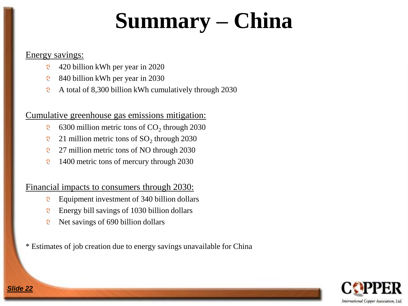# **Summary – China**

#### Energy savings:

- 420 billion kWh per year in 2020  $\bullet$
- $\boldsymbol{\Omega}$ 840 billion kWh per year in 2030
- A total of 8,300 billion kWh cumulatively through 2030  $\boldsymbol{\Omega}$

#### Cumulative greenhouse gas emissions mitigation:

- 6300 million metric tons of  $CO<sub>2</sub>$  through 2030  $\mathbf{C}$
- $\boldsymbol{\Omega}$ 21 million metric tons of  $SO_2$  through 2030
- 27 million metric tons of NO through 2030  $\bullet$
- 1400 metric tons of mercury through 2030  $\boldsymbol{\Omega}$

#### Financial impacts to consumers through 2030:

- Equipment investment of 340 billion dollars  $\mathbf{O}$
- Energy bill savings of 1030 billion dollars  $\mathbf{O}$
- Net savings of 690 billion dollars  $\mathbf{O}$

\* Estimates of job creation due to energy savings unavailable for China

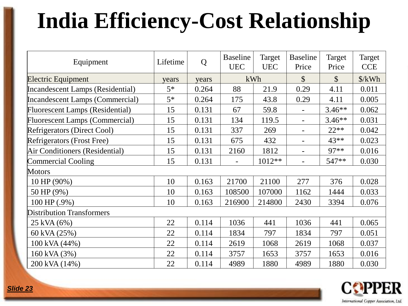# **India Efficiency-Cost Relationship**

| Equipment                              | Lifetime | Q     | <b>Baseline</b><br><b>UEC</b> | Target<br><b>UEC</b> | <b>Baseline</b><br>Price | Target<br>Price | Target<br><b>CCE</b> |
|----------------------------------------|----------|-------|-------------------------------|----------------------|--------------------------|-----------------|----------------------|
| <b>Electric Equipment</b>              | years    | years | kWh                           |                      | $\mathcal{S}$            | $\mathcal{S}$   | $\frac{\sqrt{2}}{2}$ |
| Incandescent Lamps (Residential)       | $5*$     | 0.264 | 88                            | 21.9                 | 0.29                     | 4.11            | 0.011                |
| Incandescent Lamps (Commercial)        | $5*$     | 0.264 | 175                           | 43.8                 | 0.29                     | 4.11            | 0.005                |
| <b>Fluorescent Lamps (Residential)</b> | 15       | 0.131 | 67                            | 59.8                 | $\overline{\phantom{a}}$ | $3.46**$        | 0.062                |
| <b>Fluorescent Lamps (Commercial)</b>  | 15       | 0.131 | 134                           | 119.5                | $\overline{\phantom{0}}$ | $3.46**$        | 0.031                |
| Refrigerators (Direct Cool)            | 15       | 0.131 | 337                           | 269                  | $\overline{\phantom{a}}$ | $22**$          | 0.042                |
| Refrigerators (Frost Free)             | 15       | 0.131 | 675                           | 432                  | $\overline{\phantom{0}}$ | $43**$          | 0.023                |
| Air Conditioners (Residential)         | 15       | 0.131 | 2160                          | 1812                 | $\blacksquare$           | 97**            | 0.016                |
| Commercial Cooling                     | 15       | 0.131 |                               | 1012**               |                          | 547**           | 0.030                |
| <b>Motors</b>                          |          |       |                               |                      |                          |                 |                      |
| 10 HP (90%)                            | 10       | 0.163 | 21700                         | 21100                | 277                      | 376             | 0.028                |
| 50 HP (9%)                             | 10       | 0.163 | 108500                        | 107000               | 1162                     | 1444            | 0.033                |
| 100 HP (.9%)                           | 10       | 0.163 | 216900                        | 214800               | 2430                     | 3394            | 0.076                |
| <b>Distribution Transformers</b>       |          |       |                               |                      |                          |                 |                      |
| 25 kVA (6%)                            | 22       | 0.114 | 1036                          | 441                  | 1036                     | 441             | 0.065                |
| 60 kVA (25%)                           | 22       | 0.114 | 1834                          | 797                  | 1834                     | 797             | 0.051                |
| 100 kVA (44%)                          | 22       | 0.114 | 2619                          | 1068                 | 2619                     | 1068            | 0.037                |
| 160 kVA (3%)                           | 22       | 0.114 | 3757                          | 1653                 | 3757                     | 1653            | 0.016                |
| 200 kVA (14%)                          | 22       | 0.114 | 4989                          | 1880                 | 4989                     | 1880            | 0.030                |

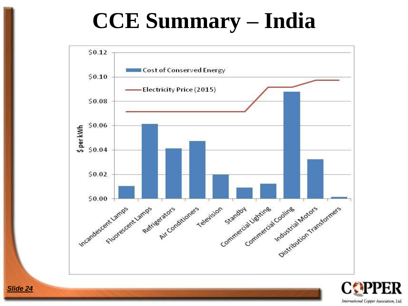# **CCE Summary – India**



International Copper Association, Ltd.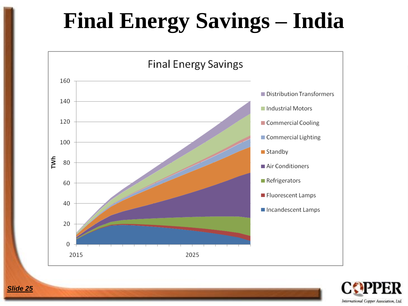# **Final Energy Savings - India**



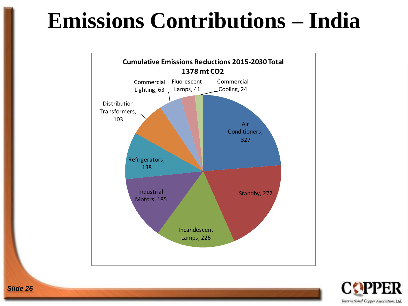### **Emissions Contributions – India**



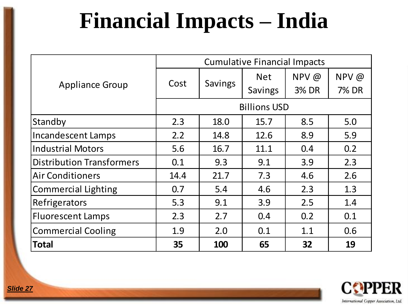# **Financial Impacts – India**

|                                  |                     | <b>Cumulative Financial Impacts</b> |                |       |              |  |  |  |  |
|----------------------------------|---------------------|-------------------------------------|----------------|-------|--------------|--|--|--|--|
|                                  |                     |                                     | <b>Net</b>     | NPV @ | NPV @        |  |  |  |  |
| <b>Appliance Group</b>           | Cost                | Savings                             | <b>Savings</b> | 3% DR | <b>7% DR</b> |  |  |  |  |
|                                  | <b>Billions USD</b> |                                     |                |       |              |  |  |  |  |
| Standby                          | 2.3                 | 18.0                                | 15.7           | 8.5   | 5.0          |  |  |  |  |
| <b>Incandescent Lamps</b>        | 2.2                 | 14.8                                | 12.6           | 8.9   | 5.9          |  |  |  |  |
| <b>Industrial Motors</b>         | 5.6                 | 16.7                                | 11.1           | 0.4   | 0.2          |  |  |  |  |
| <b>Distribution Transformers</b> | 0.1                 | 9.3                                 | 9.1            | 3.9   | 2.3          |  |  |  |  |
| <b>Air Conditioners</b>          | 14.4                | 21.7                                | 7.3            | 4.6   | 2.6          |  |  |  |  |
| <b>Commercial Lighting</b>       | 0.7                 | 5.4                                 | 4.6            | 2.3   | 1.3          |  |  |  |  |
| Refrigerators                    | 5.3                 | 9.1                                 | 3.9            | 2.5   | 1.4          |  |  |  |  |
| <b>Fluorescent Lamps</b>         | 2.3                 | 2.7                                 | 0.4            | 0.2   | 0.1          |  |  |  |  |
| <b>Commercial Cooling</b>        | 1.9                 | 2.0                                 | 0.1            | 1.1   | 0.6          |  |  |  |  |
| Total                            | 35                  | 100                                 | 65             | 32    | 19           |  |  |  |  |

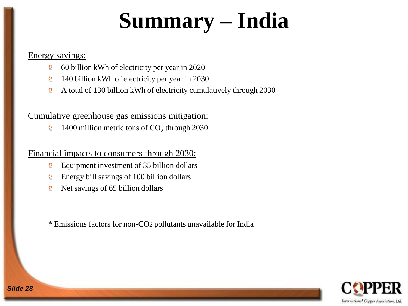# **Summary – India**

#### Energy savings:

*Slide 28*

- 60 billion kWh of electricity per year in 2020  $\overline{\Omega}$
- 140 billion kWh of electricity per year in 2030  $\mathbf{Q}$
- A total of 130 billion kWh of electricity cumulatively through 2030  $\bullet$

#### Cumulative greenhouse gas emissions mitigation:

1400 million metric tons of  $CO<sub>2</sub>$  through 2030  $\mathbf{O}$ 

#### Financial impacts to consumers through 2030:

- Equipment investment of 35 billion dollars  $\Omega$
- Energy bill savings of 100 billion dollars  $\mathbf{O}$
- Net savings of 65 billion dollars  $\Omega$

\* Emissions factors for non-CO2 pollutants unavailable for India

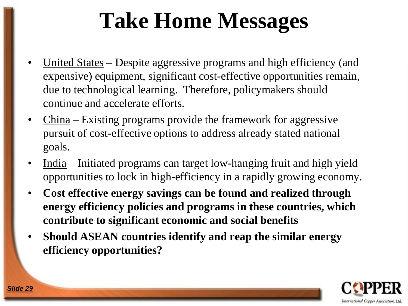# **Take Home Messages**

- United States Despite aggressive programs and high efficiency (and expensive) equipment, significant cost-effective opportunities remain, due to technological learning. Therefore, policymakers should continue and accelerate efforts.
- $China Existing programs provide the framework for aggressive$ </u> pursuit of cost-effective options to address already stated national goals.
- India Initiated programs can target low-hanging fruit and high yield opportunities to lock in high-efficiency in a rapidly growing economy.
- **Cost effective energy savings can be found and realized through energy efficiency policies and programs in these countries, which contribute to significant economic and social benefits**
- **Should ASEAN countries identify and reap the similar energy efficiency opportunities?**